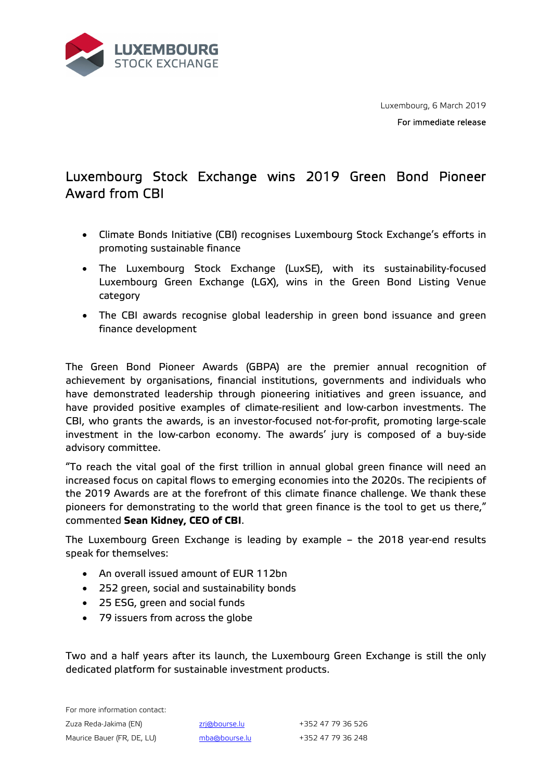

Luxembourg, 6 March 2019

For immediate release

## Luxembourg Stock Exchange wins 2019 Green Bond Pioneer Award from CBI

- Climate Bonds Initiative (CBI) recognises Luxembourg Stock Exchange's efforts in promoting sustainable finance
- The Luxembourg Stock Exchange (LuxSE), with its sustainability-focused Luxembourg Green Exchange (LGX), wins in the Green Bond Listing Venue category
- The CBI awards recognise global leadership in green bond issuance and green finance development

The Green Bond Pioneer Awards (GBPA) are the premier annual recognition of achievement by organisations, financial institutions, governments and individuals who have demonstrated leadership through pioneering initiatives and green issuance, and have provided positive examples of climate-resilient and low-carbon investments. The CBI, who grants the awards, is an investor-focused not-for-profit, promoting large-scale investment in the low-carbon economy. The awards' jury is composed of a buy-side advisory committee.

"To reach the vital goal of the first trillion in annual global green finance will need an increased focus on capital flows to emerging economies into the 2020s. The recipients of the 2019 Awards are at the forefront of this climate finance challenge. We thank these pioneers for demonstrating to the world that green finance is the tool to get us there," commented **Sean Kidney, CEO of CBI**.

The Luxembourg Green Exchange is leading by example – the 2018 year-end results speak for themselves:

- An overall issued amount of EUR 112bn
- 252 green, social and sustainability bonds
- 25 ESG, green and social funds
- 79 issuers from across the globe

Two and a half years after its launch, the Luxembourg Green Exchange is still the only dedicated platform for sustainable investment products.